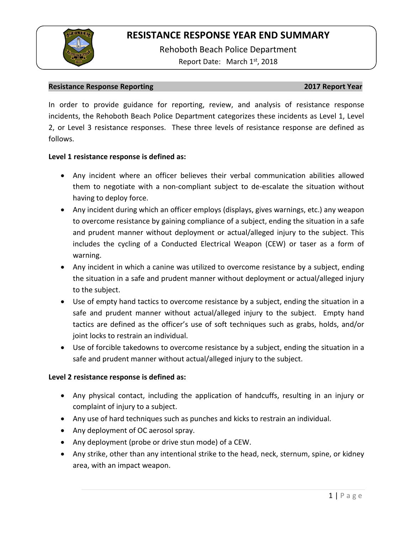

Rehoboth Beach Police Department Report Date: March 1<sup>st</sup>, 2018

#### **Resistance Response Reporting 2017 Report Year**

In order to provide guidance for reporting, review, and analysis of resistance response incidents, the Rehoboth Beach Police Department categorizes these incidents as Level 1, Level 2, or Level 3 resistance responses. These three levels of resistance response are defined as follows.

### **Level 1 resistance response is defined as:**

- Any incident where an officer believes their verbal communication abilities allowed them to negotiate with a non-compliant subject to de-escalate the situation without having to deploy force.
- Any incident during which an officer employs (displays, gives warnings, etc.) any weapon to overcome resistance by gaining compliance of a subject, ending the situation in a safe and prudent manner without deployment or actual/alleged injury to the subject. This includes the cycling of a Conducted Electrical Weapon (CEW) or taser as a form of warning.
- Any incident in which a canine was utilized to overcome resistance by a subject, ending the situation in a safe and prudent manner without deployment or actual/alleged injury to the subject.
- Use of empty hand tactics to overcome resistance by a subject, ending the situation in a safe and prudent manner without actual/alleged injury to the subject. Empty hand tactics are defined as the officer's use of soft techniques such as grabs, holds, and/or joint locks to restrain an individual.
- Use of forcible takedowns to overcome resistance by a subject, ending the situation in a safe and prudent manner without actual/alleged injury to the subject.

### **Level 2 resistance response is defined as:**

- Any physical contact, including the application of handcuffs, resulting in an injury or complaint of injury to a subject.
- Any use of hard techniques such as punches and kicks to restrain an individual.
- Any deployment of OC aerosol spray.
- Any deployment (probe or drive stun mode) of a CEW.
- Any strike, other than any intentional strike to the head, neck, sternum, spine, or kidney area, with an impact weapon.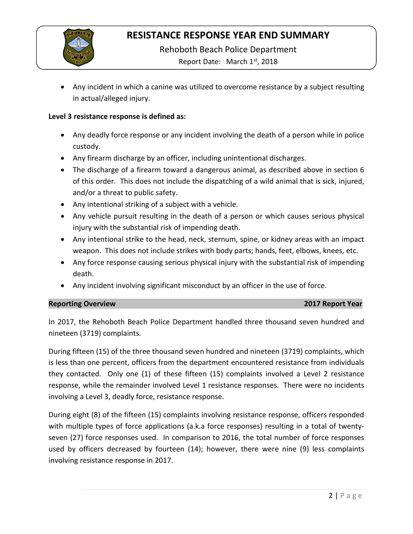

Rehoboth Beach Police Department

Report Date: March 1<sup>st</sup>, 2018

• Any incident in which a canine was utilized to overcome resistance by a subject resulting in actual/alleged injury.

### **Level 3 resistance response is defined as:**

- Any deadly force response or any incident involving the death of a person while in police custody.
- Any firearm discharge by an officer, including unintentional discharges.
- The discharge of a firearm toward a dangerous animal, as described above in section 6 of this order. This does not include the dispatching of a wild animal that is sick, injured, and/or a threat to public safety.
- Any intentional striking of a subject with a vehicle.
- Any vehicle pursuit resulting in the death of a person or which causes serious physical injury with the substantial risk of impending death.
- Any intentional strike to the head, neck, sternum, spine, or kidney areas with an impact weapon. This does not include strikes with body parts; hands, feet, elbows, knees, etc.
- Any force response causing serious physical injury with the substantial risk of impending death.
- Any incident involving significant misconduct by an officer in the use of force.

### **Reporting Overview 2017 Report Year**

In 2017, the Rehoboth Beach Police Department handled three thousand seven hundred and nineteen (3719) complaints.

During fifteen (15) of the three thousand seven hundred and nineteen (3719) complaints, which is less than one percent, officers from the department encountered resistance from individuals they contacted. Only one (1) of these fifteen (15) complaints involved a Level 2 resistance response, while the remainder involved Level 1 resistance responses. There were no incidents involving a Level 3, deadly force, resistance response.

During eight (8) of the fifteen (15) complaints involving resistance response, officers responded with multiple types of force applications (a.k.a force responses) resulting in a total of twentyseven (27) force responses used. In comparison to 2016, the total number of force responses used by officers decreased by fourteen (14); however, there were nine (9) less complaints involving resistance response in 2017.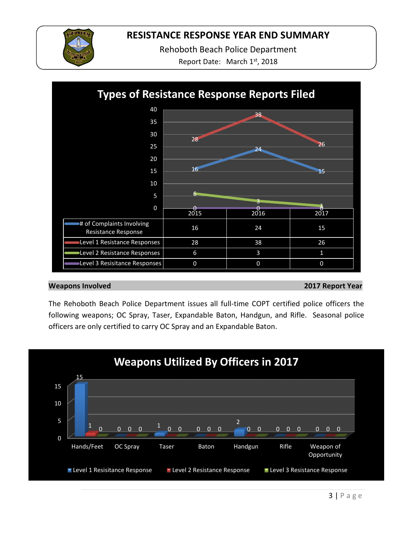

Rehoboth Beach Police Department

Report Date: March 1st, 2018



### **Weapons Involved 2017 Report Year**

The Rehoboth Beach Police Department issues all full-time COPT certified police officers the following weapons; OC Spray, Taser, Expandable Baton, Handgun, and Rifle. Seasonal police officers are only certified to carry OC Spray and an Expandable Baton.

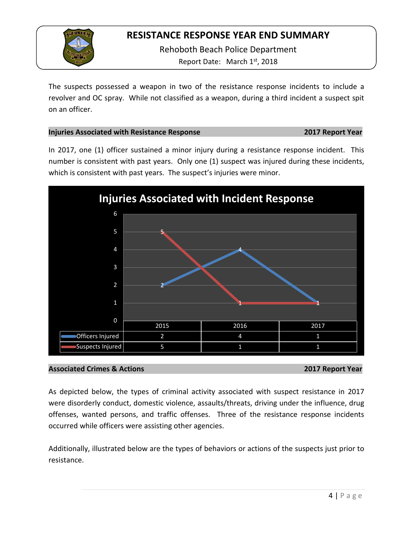

Rehoboth Beach Police Department Report Date: March 1st, 2018

The suspects possessed a weapon in two of the resistance response incidents to include a revolver and OC spray. While not classified as a weapon, during a third incident a suspect spit on an officer.

### **Injuries Associated with Resistance Response 2017 Report Year**

In 2017, one (1) officer sustained a minor injury during a resistance response incident. This number is consistent with past years. Only one (1) suspect was injured during these incidents, which is consistent with past years. The suspect's injuries were minor.



### **Associated Crimes & Actions 2017 Report Year**

As depicted below, the types of criminal activity associated with suspect resistance in 2017 were disorderly conduct, domestic violence, assaults/threats, driving under the influence, drug offenses, wanted persons, and traffic offenses. Three of the resistance response incidents occurred while officers were assisting other agencies.

Additionally, illustrated below are the types of behaviors or actions of the suspects just prior to resistance.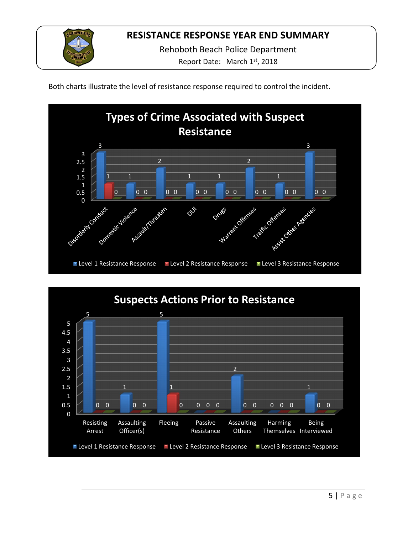

Rehoboth Beach Police Department

Report Date: March 1st, 2018

Both charts illustrate the level of resistance response required to control the incident.



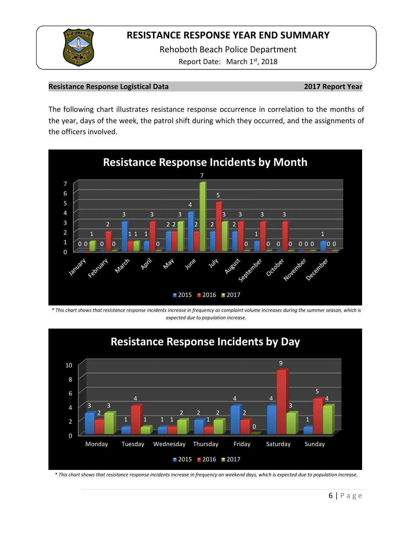

Rehoboth Beach Police Department Report Date: March 1<sup>st</sup>, 2018

### **Resistance Response Logistical Data 2017 Report Year**

The following chart illustrates resistance response occurrence in correlation to the months of the year, days of the week, the patrol shift during which they occurred, and the assignments of the officers involved.



*\* This chart shows that resistance response incidents increase in frequency as complaint volume increases during the summer season, which is expected due to population increase.*



*\* This chart shows that resistance response incidents increase in frequency on weekend days, which is expected due to population increase.*